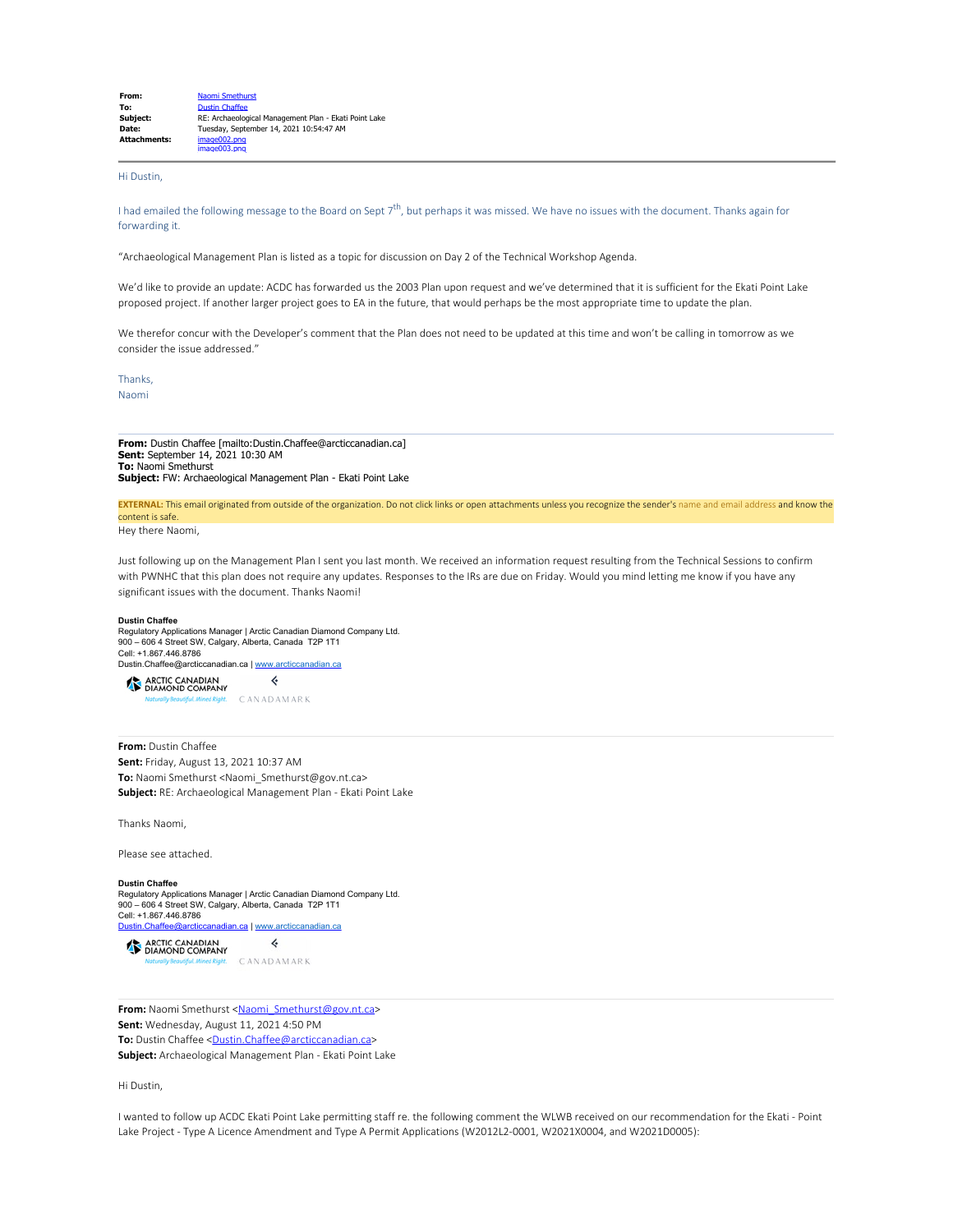| From:               | Naomi Smethurst                                       |  |
|---------------------|-------------------------------------------------------|--|
| To:                 | <b>Dustin Chaffee</b>                                 |  |
| Subject:            | RE: Archaeological Management Plan - Ekati Point Lake |  |
| Date:               | Tuesdav, September 14, 2021 10:54:47 AM               |  |
| <b>Attachments:</b> | image002.png                                          |  |
|                     | image003.png                                          |  |

## Hi Dustin,

I had emailed the following message to the Board on Sept  $7<sup>th</sup>$ , but perhaps it was missed. We have no issues with the document. Thanks again for forwarding it.

"Archaeological Management Plan is listed as a topic for discussion on Day 2 of the Technical Workshop Agenda.

We'd like to provide an update: ACDC has forwarded us the 2003 Plan upon request and we've determined that it is sufficient for the Ekati Point Lake proposed project. If another larger project goes to EA in the future, that would perhaps be the most appropriate time to update the plan.

We therefor concur with the Developer's comment that the Plan does not need to be updated at this time and won't be calling in tomorrow as we consider the issue addressed."

Thanks, Naomi

**From:** Dustin Chaffee [mailto:Dustin.Chaffee@arcticcanadian.ca] **Sent:** September 14, 2021 10:30 AM **To:** Naomi Smethurst **Subject:** FW: Archaeological Management Plan - Ekati Point Lake

**EXTERNAL:** This email originated from outside of the organization. Do not click links or open attachments unless you recognize the sender's name and email address and know the content is safe.

Hey there Naomi,

Just following up on the Management Plan I sent you last month. We received an information request resulting from the Technical Sessions to confirm with PWNHC that this plan does not require any updates. Responses to the IRs are due on Friday. Would you mind letting me know if you have any significant issues with the document. Thanks Naomi!

#### **Dustin Chaffee**

Regulatory Applications Manager | Arctic Canadian Diamond Company Ltd. 900 – 606 4 Street SW, Calgary, Alberta, Canada T2P 1T1 Cell: +1.867.446.8786 Dustin.Chaffee@arcticcanadian.ca | [www.arcticcanadian.ca](https://smex12-5-en-ctp.trendmicro.com/wis/clicktime/v1/query?url=http%3a%2f%2fwww.arcticcanadian.ca&umid=d006d3d3-ac6f-45d5-ae97-7656fa5051bb&auth=a27a50769ee7a6b98fc484a9784dd0a9288f51a8-f96877fae16b08561e40a9287f37e36619b56e60)



**From:** Dustin Chaffee **Sent:** Friday, August 13, 2021 10:37 AM **To:** Naomi Smethurst <Naomi\_Smethurst@gov.nt.ca> **Subject:** RE: Archaeological Management Plan - Ekati Point Lake

Thanks Naomi,

Please see attached.

### **Dustin Chaffee**

Regulatory Applications Manager | Arctic Canadian Diamond Company Ltd. 900 – 606 4 Street SW, Calgary, Alberta, Canada T2P 1T1 Cell: +1.867.446.8786 [Dustin.Chaffee@arcticcanadian.ca](mailto:Dustin.Chaffee@arcticcanadian.ca) | [www.arcticcanadian.ca](https://smex12-5-en-ctp.trendmicro.com/wis/clicktime/v1/query?url=http%3a%2f%2fwww.arcticcanadian.ca&umid=d006d3d3-ac6f-45d5-ae97-7656fa5051bb&auth=a27a50769ee7a6b98fc484a9784dd0a9288f51a8-f96877fae16b08561e40a9287f37e36619b56e60)

 $\Leftrightarrow$ ARCTIC CANADIAN . CANADAMARK

From: Naomi Smethurst [<Naomi\\_Smethurst@gov.nt.ca](mailto:Naomi_Smethurst@gov.nt.ca)> **Sent:** Wednesday, August 11, 2021 4:50 PM **To:** Dustin Chaffee [<Dustin.Chaffee@arcticcanadian.ca](mailto:Dustin.Chaffee@arcticcanadian.ca)> **Subject:** Archaeological Management Plan - Ekati Point Lake

## Hi Dustin,

I wanted to follow up ACDC Ekati Point Lake permitting staff re. the following comment the WLWB received on our recommendation for the Ekati - Point Lake Project - Type A Licence Amendment and Type A Permit Applications (W2012L2-0001, W2021X0004, and W2021D0005):